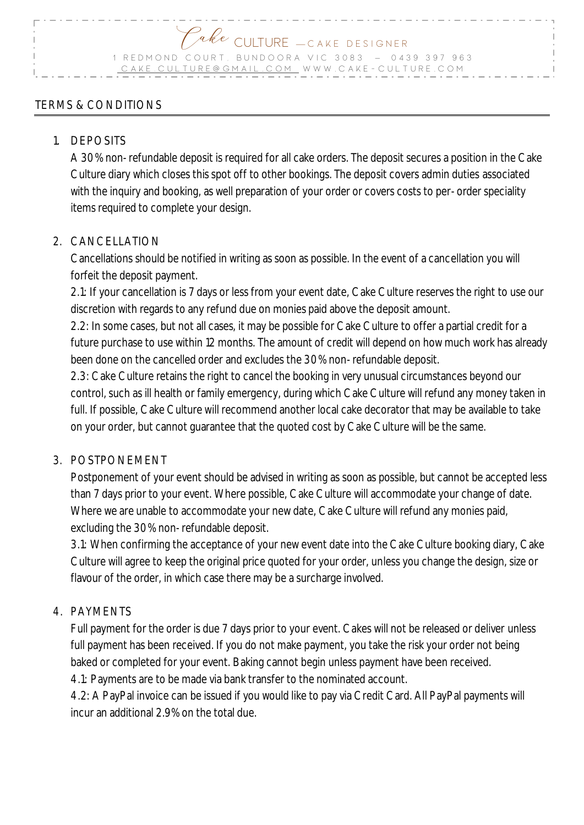# Pake CULTURE — CAKE DESIGNER 1 REDMOND COURT, BUNDOORA VIC 3083 - 0439 397 963  $CULTURE@GMAL.COM$  . W W W . C A K E - C U L T U R E . C O M

## TERMS & CONDITIONS

### 1. DEPOSITS

A 30% non-refundable deposit is required for all cake orders. The deposit secures a position in the Cake Culture diary which closes this spot off to other bookings. The deposit covers admin duties associated with the inquiry and booking, as well preparation of your order or covers costs to per-order speciality items required to complete your design.

### 2. CANCELLATION

Cancellations should be notified in writing as soon as possible. In the event of a cancellation you will forfeit the deposit payment.

2.1: If your cancellation is 7 days or less from your event date, Cake Culture reserves the right to use our discretion with regards to any refund due on monies paid above the deposit amount.

2.2: In some cases, but not all cases, it may be possible for Cake Culture to offer a partial credit for a future purchase to use within 12 months. The amount of credit will depend on how much work has already been done on the cancelled order and excludes the 30% non-refundable deposit.

2.3: Cake Culture retains the right to cancel the booking in very unusual circumstances beyond our control, such as ill health or family emergency, during which Cake Culture will refund any money taken in full. If possible, Cake Culture will recommend another local cake decorator that may be available to take on your order, but cannot guarantee that the quoted cost by Cake Culture will be the same.

#### 3. POSTPONEMENT

Postponement of your event should be advised in writing as soon as possible, but cannot be accepted less than 7 days prior to your event. Where possible, Cake Culture will accommodate your change of date. Where we are unable to accommodate your new date, Cake Culture will refund any monies paid, excluding the 30% non-refundable deposit.

3.1: When confirming the acceptance of your new event date into the Cake Culture booking diary, Cake Culture will agree to keep the original price quoted for your order, unless you change the design, size or flavour of the order, in which case there may be a surcharge involved.

## 4. PAYMENTS

Full payment for the order is due 7 days prior to your event. Cakes will not be released or deliver unless full payment has been received. If you do not make payment, you take the risk your order not being baked or completed for your event. Baking cannot begin unless payment have been received.

4.1: Payments are to be made via bank transfer to the nominated account.

4.2: A PayPal invoice can be issued if you would like to pay via Credit Card. All PayPal payments will incur an additional 2.9% on the total due.